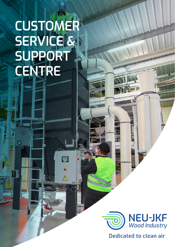# **CUSTOMER SERVICE & SUPPORT CENTRE**

 $\mathcal{A}$ 

 $\circledR$ 



 $H$ 

**Dedicated to clean air**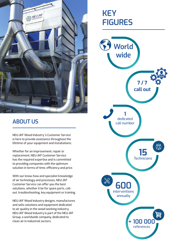

## **ABOUT US**

NEU-JKF Wood Industry 's Customer Service is here to provide assistance throughout the lifetime of your equipment and installations;

Whether for an improvement, repair or replacement, NEU-JKF Customer Service has the required expertise and is committed to providing companies with the optimum solution in terms of time, efficiency and price.

With our know-how and specialist knowledge of air technology and processes, NEU-JKF Customer Service can offer you the best solutions, whether it be for spare parts, callout, troubleshooting, key equipment or training.

NEU-JKF Wood Industry designs, manufactures and sells solutions and equipment dedicated to air quality in the wood working industry. NEU-JKF Wood Industry is part of the NEU-JKF Group, a worldwide company, dedicated to clean air in industrial sectors.

## **KEY FIGURES**

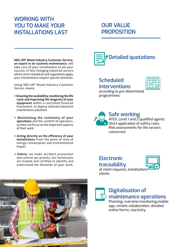#### **WORKING WITH YOU TO MAKE YOUR INSTALLATIONS LAST**

**NEU-JKF Wood Industry Customer Service, an expert in air systems maintenance,** will take care of your installations to aid your success. In fast-changing industrial sectors where strict standards and regulations apply, your installations require special attention**.**

Using NEU-JKF Wood Industry Customer Service, means:

- **+ Ensuring the availability, monitoring the life cycle and improving the longevity of your equipment** within a controlled financial framework, to deploy tailored industrial maintenance solutions
- **+ Maintaining the continuity of your operations** and the comfort of operators, so they can focus on the important aspects of their work.
- **+ Acting directly on the efficiency of your installations** from the point of view of energy consumption and environmental impact.
- **+ Safety**: we make accident prevention and control our priority. Our technicians are trained and certified to identify and understand the demands of your work.





#### **Scheduled interventions**

**OUR VALUE** 

**PROPOSITION**



according to pre-determined programmes.



**Safe working**

ATEX, Level 1 and 2 qualified agents. **B** Strict application of safety rules. Risk assessments for the sectors concerned.

#### **Electronic**



**traceability** of client requests, installations clients.



#### **Digitalisation of maintenance operations**

Planning, real-time monitoring,mobile app, remote collaboration, detailed online forms, reactivity.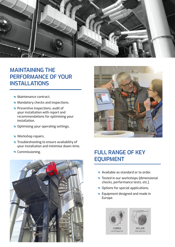

#### **MAINTAINING THE PERFORMANCE OF YOUR INSTALLATIONS**

- Maintenance contract,
- Mandatory checks and inspections,
- Preventive inspections, audit of your installation with report and recommendations for optimising your installation,
- Optimising your operating settings,
- **v** Workshop repairs,
- Troubleshooting to ensure availability of your installation and minimise down-time,
- 





#### Commissioning. **FULL RANGE OF KEY EQUIPMENT**

- Available as standard or to order,
- Tested in our workshops (dimensional checks, performance tests, etc.),
- Options for special applications,
- **D** Equipment designed and made in Europe.



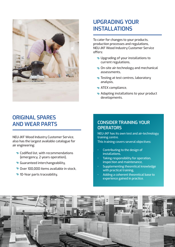

#### **UPGRADING YOUR INSTALLATIONS**

To cater for changes to your products, production processes and regulations, NEU-JKF Wood Industry Customer Service offers:

- Upgrading of your installations to current regulations,
- On-site air-technology and mechanical assessments,
- Testing at test centres, laboratory analysis,
- ATEX compliance,
- Adapting installations to your product developments.

#### **ORIGINAL SPARES AND WEAR PARTS**

NEU-JKF Wood Industry Customer Service, also has the largest available catalogue for air engineering:

- Codified list, with recommendations (emergency, 2 years operation),
- Guaranteed interchangeability,
- Over 100,000 items available in stock,
- 10-Year parts traceability,

#### **CONSIDER TRAINING YOUR OPERATORS**

NEU-JKF has its own test and air-technology training centre.

This training covers several objectives:

- Contributing to the design of installations,
- Taking responsibility for operation, inspection and maintenance,
- Supplementing theoretical knowledge with practical training,
- Adding a coherent theoretical base to experience gained in practice.